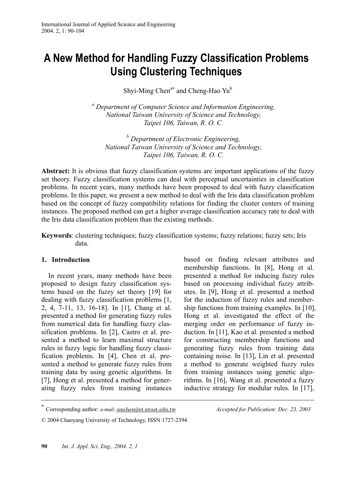# **A New Method for Handling Fuzzy Classification Problems Using Clustering Techniques**

Shyi-Ming Chen<sup>a∗</sup> and Cheng-Hao Yu<sup>b</sup>

*a Department of Computer Science and Information Engineering, National Taiwan University of Science and Technology, Taipei 106, Taiwan, R. O. C.* 

*b Department of Electronic Engineering, National Taiwan University of Science and Technology, Taipei 106, Taiwan, R. O. C.*

Abstract: It is obvious that fuzzy classification systems are important applications of the fuzzy set theory. Fuzzy classification systems can deal with perceptual uncertainties in classification problems. In recent years, many methods have been proposed to deal with fuzzy classification problems. In this paper, we present a new method to deal with the Iris data classification problem based on the concept of fuzzy compatibility relations for finding the cluster centers of training instances. The proposed method can get a higher average classification accuracy rate to deal with the Iris data classification problem than the existing methods.

**Keywords**: clustering techniques; fuzzy classification systems; fuzzy relations; fuzzy sets; Iris data.

#### **1. Introduction**

 $\overline{a}$ 

In recent years, many methods have been proposed to design fuzzy classification systems based on the fuzzy set theory [19] for dealing with fuzzy classification problems [1, 2, 4, 7-11, 13, 16-18]. In [1], Chang et al. presented a method for generating fuzzy rules from numerical data for handling fuzzy classification problems. In [2], Castro et al. presented a method to learn maximal structure rules in fuzzy logic for handling fuzzy classification problems. In [4], Chen et al. presented a method to generate fuzzy rules from training data by using genetic algorithms. In [7], Hong et al. presented a method for generating fuzzy rules from training instances based on finding relevant attributes and membership functions. In [8], Hong et al. presented a method for inducing fuzzy rules based on processing individual fuzzy attributes. In [9], Hong et al. presented a method for the induction of fuzzy rules and membership functions from training examples. In [10], Hong et al. investigated the effect of the merging order on performance of fuzzy induction. In [11], Kao et al. presented a method for constructing membership functions and generating fuzzy rules from training data containing noise. In [13], Lin et al. presented a method to generate weighted fuzzy rules from training instances using genetic algorithms. In [16], Wang et al. presented a fuzzy inductive strategy for modular rules. In [17],

<sup>∗</sup> Corresponding author: e-mail: smchen@et.ntust.edu.tw *Accepted for Publication: Dec. 23, 2003*

<sup>© 2004</sup> Chaoyang University of Technology, ISSN 1727-2394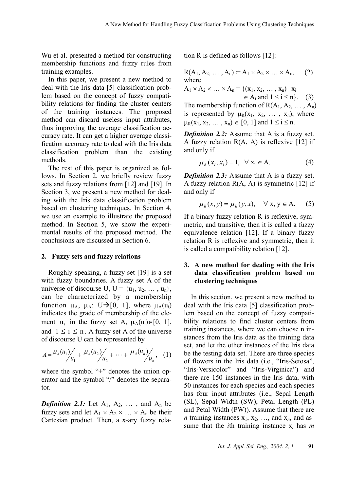Wu et al. presented a method for constructing membership functions and fuzzy rules from training examples.

In this paper, we present a new method to deal with the Iris data [5] classification problem based on the concept of fuzzy compatibility relations for finding the cluster centers of the training instances. The proposed method can discard useless input attributes, thus improving the average classification accuracy rate. It can get a higher average classification accuracy rate to deal with the Iris data classification problem than the existing methods.

The rest of this paper is organized as follows. In Section 2, we briefly review fuzzy sets and fuzzy relations from [12] and [19]. In Section 3, we present a new method for dealing with the Iris data classification problem based on clustering techniques. In Section 4, we use an example to illustrate the proposed method. In Section 5, we show the experimental results of the proposed method. The conclusions are discussed in Section 6.

#### **2. Fuzzy sets and fuzzy relations**

Roughly speaking, a fuzzy set [19] is a set with fuzzy boundaries. A fuzzy set A of the universe of discourse U,  $U = \{u_1, u_2, \dots, u_n\},\$ can be characterized by a membership function  $\mu_A$ ,  $\mu_A$ : U $\rightarrow$ [0, 1], where  $\mu_A(u_i)$ indicates the grade of membership of the element u<sub>i</sub> in the fuzzy set A,  $\mu_A(u_i) \in [0, 1]$ , and  $1 \le i \le n$ . A fuzzy set A of the universe of discourse U can be represented by

$$
A = \frac{\mu_A(u_1)}{\mu_1} + \frac{\mu_A(u_2)}{\mu_2} + \dots + \frac{\mu_A(u_n)}{\mu_n}, \quad (1)
$$

where the symbol "+" denotes the union operator and the symbol "/" denotes the separator.

**Definition 2.1:** Let  $A_1$ ,  $A_2$ , ..., and  $A_n$  be fuzzy sets and let  $A_1 \times A_2 \times ... \times A_n$  be their Cartesian product. Then, a *n*-ary fuzzy relation R is defined as follows [12]:

$$
R(A_1, A_2, \ldots, A_n) \subset A_1 \times A_2 \times \ldots \times A_n, \quad (2)
$$
  
where

$$
A_1 \times A_2 \times ... \times A_n = \{ (x_1, x_2, ..., x_n) | x_i \n\in A_i \text{ and } 1 \le i \le n \}.
$$
 (3)

The membership function of  $R(A_1, A_2, \ldots, A_n)$ is represented by  $\mu_R(x_1, x_2, \ldots, x_n)$ , where  $\mu_R(x_1, x_2, \ldots, x_n) \in [0, 1]$  and  $1 \le i \le n$ .

*Definition 2.2:* Assume that A is a fuzzy set. A fuzzy relation  $R(A, A)$  is reflexive [12] if and only if

$$
\mu_R(x_i, x_i) = 1, \quad \forall \ x_i \in A. \tag{4}
$$

*Definition 2.3:* Assume that A is a fuzzy set. A fuzzy relation  $R(A, A)$  is symmetric [12] if and only if

$$
\mu_R(x, y) = \mu_R(y, x), \quad \forall \ x, y \in A. \quad (5)
$$

If a binary fuzzy relation R is reflexive, symmetric, and transitive, then it is called a fuzzy equivalence relation [12]. If a binary fuzzy relation R is reflexive and symmetric, then it is called a compatibility relation [12].

#### **3. A new method for dealing with the Iris data classification problem based on clustering techniques**

In this section, we present a new method to deal with the Iris data [5] classification problem based on the concept of fuzzy compatibility relations to find cluster centers from training instances, where we can choose n instances from the Iris data as the training data set, and let the other instances of the Iris data be the testing data set. There are three species of flowers in the Iris data (i.e., "Iris-Setosa", "Iris-Versicolor" and "Iris-Virginica") and there are 150 instances in the Iris data, with 50 instances for each species and each species has four input attributes (i.e., Sepal Length (SL), Sepal Width (SW), Petal Length (PL) and Petal Width (PW)). Assume that there are *n* training instances  $x_1, x_2, \ldots$ , and  $x_n$ , and assume that the *i*th training instance  $x_i$  has *m*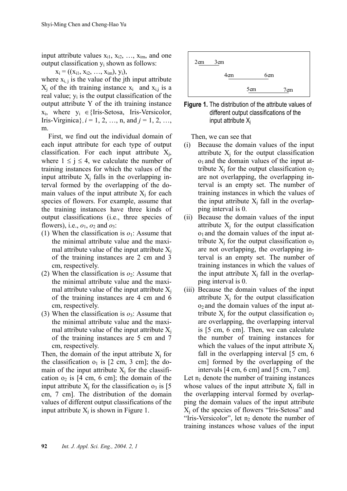input attribute values  $x_{i1}$ ,  $x_{i2}$ , ...,  $x_{im}$ , and one output classification yi shown as follows:

$$
x_i = ((x_{i1}, x_{i2}, ..., x_{im}), y_i),
$$

where  $x_{i,j}$  is the value of the jth input attribute  $X_j$  of the ith training instance  $x_i$  and  $x_{i,j}$  is a real value;  $y_i$  is the output classification of the output attribute Y of the ith training instance  $x_i$ , where  $y_i \in \{Iris-Setosa, Iris-Versionor,$ Iris-Virginica},  $i = 1, 2, ..., n$ , and  $j = 1, 2, ...,$ m.

First, we find out the individual domain of each input attribute for each type of output classification. For each input attribute  $X_i$ , where  $1 \le j \le 4$ , we calculate the number of training instances for which the values of the input attribute  $X_i$  falls in the overlapping interval formed by the overlapping of the domain values of the input attribute  $X_i$  for each species of flowers. For example, assume that the training instances have three kinds of output classifications (i.e., three species of flowers), i.e., *o*1, *o*2 and *o*3:

- (1) When the classification is  $o_1$ : Assume that the minimal attribute value and the maximal attribute value of the input attribute  $X_i$ of the training instances are 2 cm and 3 cm, respectively.
- (2) When the classification is  $o_2$ : Assume that the minimal attribute value and the maximal attribute value of the input attribute  $X_i$ of the training instances are 4 cm and 6 cm, respectively.
- (3) When the classification is  $o_3$ : Assume that the minimal attribute value and the maximal attribute value of the input attribute  $X_i$ of the training instances are 5 cm and 7 cm, respectively.

Then, the domain of the input attribute  $X_i$  for the classification  $o_1$  is [2 cm, 3 cm]; the domain of the input attribute  $X_i$  for the classification  $o_2$  is [4 cm, 6 cm]; the domain of the input attribute  $X_i$  for the classification  $o_3$  is [5] cm, 7 cm]. The distribution of the domain values of different output classifications of the input attribute  $X_i$  is shown in Figure 1.





Then, we can see that

- (i) Because the domain values of the input attribute  $X_i$  for the output classification  $o<sub>1</sub>$  and the domain values of the input attribute  $X_i$  for the output classification  $o_2$ are not overlapping, the overlapping interval is an empty set. The number of training instances in which the values of the input attribute  $X_i$  fall in the overlapping interval is 0.
- (ii) Because the domain values of the input attribute  $X_i$  for the output classification  $o<sub>1</sub>$  and the domain values of the input attribute  $X_i$  for the output classification  $o_3$ are not overlapping, the overlapping interval is an empty set. The number of training instances in which the values of the input attribute  $X_i$  fall in the overlapping interval is 0.
- (iii) Because the domain values of the input attribute  $X_i$  for the output classification  $o_2$  and the domain values of the input attribute  $X_i$  for the output classification  $o_3$ are overlapping, the overlapping interval is [5 cm, 6 cm]. Then, we can calculate the number of training instances for which the values of the input attribute  $X_i$ fall in the overlapping interval [5 cm, 6] cm] formed by the overlapping of the intervals [4 cm, 6 cm] and [5 cm, 7 cm].

Let  $n_1$  denote the number of training instances whose values of the input attribute  $X_i$  fall in the overlapping interval formed by overlapping the domain values of the input attribute  $X_i$  of the species of flowers "Iris-Setosa" and "Iris-Versicolor", let  $n_2$  denote the number of training instances whose values of the input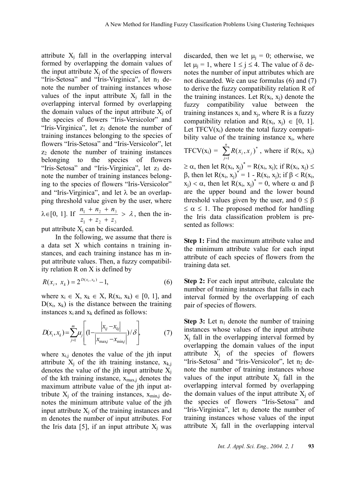attribute  $X_i$  fall in the overlapping interval formed by overlapping the domain values of the input attribute  $X_i$  of the species of flowers "Iris-Setosa" and "Iris-Virginica", let  $n_3$  denote the number of training instances whose values of the input attribute  $X_i$  fall in the overlapping interval formed by overlapping the domain values of the input attribute  $X_i$  of the species of flowers "Iris-Versicolor" and "Iris-Virginica", let  $z_1$  denote the number of training instances belonging to the species of flowers "Iris-Setosa" and "Iris-Versicolor", let  $z_2$  denote the number of training instances belonging to the species of flowers "Iris-Setosa" and "Iris-Virginica", let  $z_3$  denote the number of training instances belonging to the species of flowers "Iris-Versicolor" and "Iris-Virginica", and let  $\lambda$  be an overlapping threshold value given by the user, where  $+ n<sub>2</sub> +$ 

 $\lambda \in [0, 1]$ . If  $\frac{n_1 + n_2 + n_3}{n_3} > \lambda$  $+ z<sub>2</sub> +$  $_1$  +  $_2$  +  $_3$  $1 + \mu_2 + \mu_3$  $z_1 + z_2 + z$  $\frac{n_1 + n_2 + n_3}{n_1 + n_2} > \lambda$ , then the in-

put attribute  $X_i$  can be discarded.

In the following, we assume that there is a data set X which contains n training instances, and each training instance has m input attribute values. Then, a fuzzy compatibility relation R on X is defined by

$$
R(x_i, x_k) = 2^{D(x_i, x_k)} - 1,
$$
\n(6)

where  $x_i \in X$ ,  $x_k \in X$ ,  $R(x_i, x_k) \in [0, 1]$ , and  $D(x_i, x_k)$  is the distance between the training instances  $x_i$  and  $x_k$  defined as follows:

$$
D(x_i, x_k) = \sum_{j=1}^{m} \mu_j \left[ \left( 1 - \frac{|x_{ij} - x_{kj}|}{|x_{\text{max}j} - x_{\text{min}j}|} \right) / \delta \right],
$$
 (7)

where  $x_{i,j}$  denotes the value of the jth input attribute  $X_i$  of the ith training instance,  $X_{k,i}$ denotes the value of the jth input attribute  $X_i$ of the kth training instance,  $x_{max,j}$  denotes the maximum attribute value of the jth input attribute  $X_i$  of the training instances,  $x_{min,i}$  denotes the minimum attribute value of the jth input attribute  $X_i$  of the training instances and m denotes the number of input attributes. For the Iris data [5], if an input attribute  $X_i$  was

discarded, then we let  $\mu_i = 0$ ; otherwise, we let  $\mu_i = 1$ , where  $1 \le j \le 4$ . The value of  $\delta$  denotes the number of input attributes which are not discarded. We can use formulas (6) and (7) to derive the fuzzy compatibility relation R of the training instances. Let  $R(x_i, x_i)$  denote the fuzzy compatibility value between the training instances  $x_i$  and  $x_i$ , where R is a fuzzy compatibility relation and  $R(x_i, x_i) \in [0, 1]$ . Let  $TFCV(x_i)$  denote the total fuzzy compatibility value of the training instance  $x_i$ , where

$$
TFCV(x_i) = \sum_{j=1}^{n} R(x_i, x_j)^*
$$
, where if  $R(x_i, x_j)$ 

 $\geq \alpha$ , then let R(x<sub>i</sub>, x<sub>i</sub>)<sup>\*</sup> = R(x<sub>i</sub>, x<sub>i</sub>); if R(x<sub>i</sub>, x<sub>i</sub>)  $\leq$ β, then let R(x<sub>i</sub>, x<sub>i</sub>)<sup>\*</sup> = 1 - R(x<sub>i</sub>, x<sub>i</sub>); if β < R(x<sub>i</sub>,  $(x_j) < \alpha$ , then let  $R(x_i, x_j)^* = 0$ , where  $\alpha$  and  $\beta$ are the upper bound and the lower bound threshold values given by the user, and  $0 \leq \beta$  $\leq \alpha \leq 1$ . The proposed method for handling the Iris data classification problem is presented as follows:

**Step 1:** Find the maximum attribute value and the minimum attribute value for each input attribute of each species of flowers from the training data set.

**Step 2:** For each input attribute, calculate the number of training instances that falls in each interval formed by the overlapping of each pair of species of flowers.

**Step 3:** Let  $n_1$  denote the number of training instances whose values of the input attribute  $X_i$  fall in the overlapping interval formed by overlapping the domain values of the input attribute  $X_i$  of the species of flowers "Iris-Setosa" and "Iris-Versicolor", let  $n_2$  denote the number of training instances whose values of the input attribute  $X_i$  fall in the overlapping interval formed by overlapping the domain values of the input attribute  $X_i$  of the species of flowers "Iris-Setosa" and "Iris-Virginica", let  $n_3$  denote the number of training instances whose values of the input attribute  $X_i$  fall in the overlapping interval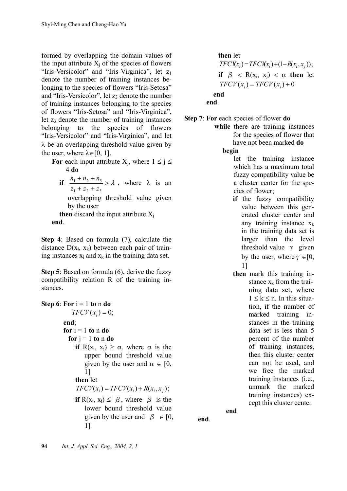formed by overlapping the domain values of the input attribute  $X_i$  of the species of flowers "Iris-Versicolor" and "Iris-Virginica", let z<sub>1</sub> denote the number of training instances belonging to the species of flowers "Iris-Setosa" and "Iris-Versicolor", let  $z_2$  denote the number of training instances belonging to the species of flowers "Iris-Setosa" and "Iris-Virginica", let  $z_3$  denote the number of training instances belonging to the species of flowers "Iris-Versicolor" and "Iris-Virginica", and let  $\lambda$  be an overlapping threshold value given by the user, where  $\lambda \in [0, 1]$ .

- **For** each input attribute  $X_i$ , where  $1 \leq j \leq k$ 4 **do**
	- **if**  $\frac{n_1 + n_2 + n_3}{n_1} > \lambda$  $+ z<sub>2</sub> +$  $+n_{2}$ +  $1 + 2 + 3$  $1 + \mu_2 + \mu_3$  $z_1 + z_2 + z$  $\frac{n_1 + n_2 + n_3}{n_1 + n_2} > \lambda$ , where  $\lambda$  is an overlapping threshold value given by the user **then** discard the input attribute  $X_i$

**end**.

**Step 4**: Based on formula (7), calculate the distance  $D(x_i, x_k)$  between each pair of training instances  $x_i$  and  $x_k$  in the training data set.

**Step 5**: Based on formula (6), derive the fuzzy compatibility relation R of the training instances.

**Step 6:** For  $i = 1$  to n do  $TFCV(x_i) = 0;$ **end**;  $$ **for**  $j = 1$  **to** n **do if**  $R(x_i, x_j) \ge \alpha$ , where  $\alpha$  is the upper bound threshold value given by the user and  $\alpha \in [0, 1]$ 1] **then** let  $TFCV(x_i) = TFCV(x_i) + R(x_i, x_i);$ **if**  $R(x_i, x_i) \leq \beta$ , where  $\beta$  is the lower bound threshold value given by the user and  $\beta \in [0,$ 1]

**then** let  $TFCV(x_i) = TFCV(x_i) + (1 - R(x_i, x_i));$ **if**  $\beta$  < R(x<sub>i</sub>, x<sub>i</sub>) <  $\alpha$  **then** let  $TFCV(x_i) = TFCV(x_i) + 0$ **end end**.

- **Step 7**: **For** each species of flower **do**
	- **while** there are training instances for the species of flower that have not been marked **do**

**begin**

- let the training instance which has a maximum total fuzzy compatibility value be a cluster center for the species of flower;
- **if** the fuzzy compatibility value between this generated cluster center and any training instance  $x_k$ in the training data set is larger than the level threshold value  $\gamma$  given by the user, where  $\gamma \in [0, 1]$ 1]
- **then** mark this training instance  $x_k$  from the training data set, where  $1 \leq k \leq n$ . In this situation, if the number of marked training instances in the training data set is less than 5 percent of the number of training instances, then this cluster center can not be used, and we free the marked training instances (i.e., unmark the marked training instances) except this cluster center

**end** 

**end**.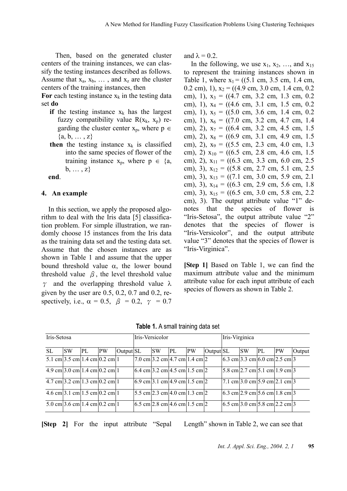Then, based on the generated cluster centers of the training instances, we can classify the testing instances described as follows. Assume that  $x_a$ ,  $x_b$ ,  $\dots$ , and  $x_z$  are the cluster centers of the training instances, then

For each testing instance  $x_k$  in the testing data set **do** 

- **if** the testing instance  $x_k$  has the largest fuzzy compatibility value  $R(x_k, x_p)$  regarding the cluster center  $x_p$ , where  $p \in$  ${a, b, ..., z}$
- **then** the testing instance  $x_k$  is classified into the same species of flower of the training instance  $x_p$ , where  $p \in \{a,$  $b, \ldots, z\}$

**end**.

#### **4. An example**

In this section, we apply the proposed algorithm to deal with the Iris data [5] classification problem. For simple illustration, we randomly choose 15 instances from the Iris data as the training data set and the testing data set. Assume that the chosen instances are as shown in Table 1 and assume that the upper bound threshold value  $\alpha$ , the lower bound threshold value  $\beta$ , the level threshold value  $\gamma$  and the overlapping threshold value  $\lambda$ given by the user are 0.5, 0.2, 0.7 and 0.2, respectively, i.e.,  $\alpha = 0.5$ ,  $\beta = 0.2$ ,  $\gamma = 0.7$  and  $\lambda = 0.2$ .

In the following, we use  $x_1, x_2, \ldots$ , and  $x_{15}$ to represent the training instances shown in Table 1, where  $x_1 = ((5.1 \text{ cm}, 3.5 \text{ cm}, 1.4 \text{ cm},$ 0.2 cm), 1),  $x_2 = ((4.9 \text{ cm}, 3.0 \text{ cm}, 1.4 \text{ cm}, 0.2 \text{ cm}))$ cm), 1),  $x_3 = ((4.7 \text{ cm}, 3.2 \text{ cm}, 1.3 \text{ cm}, 0.2 \text{ cm}))$ cm), 1),  $x_4 = ((4.6 \text{ cm}, 3.1 \text{ cm}, 1.5 \text{ cm}, 0.2 \text{ cm}))$ cm), 1),  $x_5 = ((5.0 \text{ cm}, 3.6 \text{ cm}, 1.4 \text{ cm}, 0.2 \text{ cm}))$ cm), 1),  $x_6 = ((7.0 \text{ cm}, 3.2 \text{ cm}, 4.7 \text{ cm}, 1.4 \text{ cm}))$ cm), 2),  $x_7 = ((6.4 \text{ cm}, 3.2 \text{ cm}, 4.5 \text{ cm}, 1.5 \text{ cm}))$ cm), 2),  $x_8 = ((6.9 \text{ cm}, 3.1 \text{ cm}, 4.9 \text{ cm}, 1.5 \text{ cm}))$ cm), 2),  $x_9 = ((5.5 \text{ cm}, 2.3 \text{ cm}, 4.0 \text{ cm}, 1.3 \text{ cm}))$ cm), 2)  $x_{10} = ((6.5 \text{ cm}, 2.8 \text{ cm}, 4.6 \text{ cm}, 1.5 \text{ cm}))$ cm), 2),  $x_{11} = ((6.3 \text{ cm}, 3.3 \text{ cm}, 6.0 \text{ cm}, 2.5 \text{ cm}))$ cm), 3),  $x_{12} = ((5.8 \text{ cm}, 2.7 \text{ cm}, 5.1 \text{ cm}, 2.5 \text{ cm}))$ cm), 3),  $x_{13} = ((7.1 \text{ cm}, 3.0 \text{ cm}, 5.9 \text{ cm}, 2.1$ cm), 3),  $x_{14} = ((6.3 \text{ cm}, 2.9 \text{ cm}, 5.6 \text{ cm}, 1.8 \text{ cm}))$ cm), 3),  $x_{15} = ((6.5 \text{ cm}, 3.0 \text{ cm}, 5.8 \text{ cm}, 2.2 \text{ cm}))$ cm), 3). The output attribute value "1" denotes that the species of flower is "Iris-Setosa", the output attribute value "2" denotes that the species of flower is "Iris-Versicolor", and the output attribute value "3" denotes that the species of flower is "Iris-Virginica".

**[Step 1]** Based on Table 1, we can find the maximum attribute value and the minimum attribute value for each input attribute of each species of flowers as shown in Table 2.

| Iris-Setosa |                                         |    |           |           | Iris-Versicolor                                                           |           | Iris-Virginica |           |           |  |           |                                                                        |    |        |
|-------------|-----------------------------------------|----|-----------|-----------|---------------------------------------------------------------------------|-----------|----------------|-----------|-----------|--|-----------|------------------------------------------------------------------------|----|--------|
| <b>SL</b>   | <b>SW</b>                               | PL | <b>PW</b> | Output SL |                                                                           | <b>SW</b> | PL             | <b>PW</b> | Output SL |  | <b>SW</b> | PL                                                                     | PW | Output |
|             | 5.1 cm $3.5$ cm $1.4$ cm $0.2$ cm $1$   |    |           |           | $[7.0 \text{ cm}]$ 3.2 cm   4.7 cm   1.4 cm   2                           |           |                |           |           |  |           | $(6.3 \text{ cm})$ 3.3 cm $(6.0 \text{ cm})$ 2.5 cm 3                  |    |        |
|             | $4.9 \text{ cm}$ 3.0 cm 1.4 cm 0.2 cm 1 |    |           |           | $6.4 \text{ cm}$ 3.2 cm 4.5 cm 1.5 cm 2                                   |           |                |           |           |  |           | $[5.8 \text{ cm}]$ 2.7 cm $[5.1 \text{ cm}]$ 1.9 cm $[3.1 \text{ cm}]$ |    |        |
|             | $4.7 \text{ cm}$ 3.2 cm 1.3 cm 0.2 cm 1 |    |           |           | $(6.9 \text{ cm}   3.1 \text{ cm}   4.9 \text{ cm}   1.5 \text{ cm}   2)$ |           |                |           |           |  |           | $ 7.1 \text{ cm} 3.0 \text{ cm} 5.9 \text{ cm} 2.1 \text{ cm} 3$       |    |        |
|             | $4.6 \text{ cm}$ 3.1 cm 1.5 cm 0.2 cm 1 |    |           |           | $5.5 \text{ cm}$ 2.3 cm 4.0 cm 1.3 cm 2                                   |           |                |           |           |  |           | $6.3$ cm 2.9 cm 5.6 cm 1.8 cm 3                                        |    |        |
|             | $5.0 \text{ cm}$ 3.6 cm 1.4 cm 0.2 cm 1 |    |           |           | $6.5 \text{ cm}$ 2.8 cm 4.6 cm 1.5 cm 2                                   |           |                |           |           |  |           | $6.5 \text{ cm}$ 3.0 cm 5.8 cm 2.2 cm 3                                |    |        |

**Table 1.** A small training data set

**[Step 2]** For the input attribute "Sepal Length" shown in Table 2, we can see that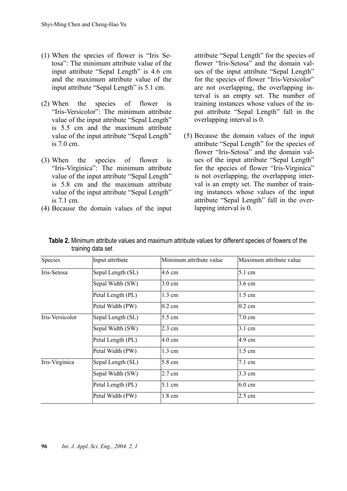- (1) When the species of flower is "Iris Setosa": The minimum attribute value of the input attribute "Sepal Length" is 4.6 cm and the maximum attribute value of the input attribute "Sepal Length" is 5.1 cm.
- (2) When the species of flower is "Iris-Versicolor": The minimum attribute value of the input attribute "Sepal Length" is 5.5 cm and the maximum attribute value of the input attribute "Sepal Length" is 7.0 cm.
- (3) When the species of flower is "Iris-Virginica": The minimum attribute value of the input attribute "Sepal Length" is 5.8 cm and the maximum attribute value of the input attribute "Sepal Length" is 7.1 cm.
- (4) Because the domain values of the input

attribute "Sepal Length" for the species of flower "Iris-Setosa" and the domain values of the input attribute "Sepal Length" for the species of flower "Iris-Versicolor" are not overlapping, the overlapping interval is an empty set. The number of training instances whose values of the input attribute "Sepal Length" fall in the overlapping interval is 0.

(5) Because the domain values of the input attribute "Sepal Length" for the species of flower "Iris-Setosa" and the domain values of the input attribute "Sepal Length" for the species of flower "Iris-Virginica" is not overlapping, the overlapping interval is an empty set. The number of training instances whose values of the input attribute "Sepal Length" fall in the overlapping interval is 0.

| Species         | Input attribute   | Minimum attribute value | Maximum attribute value |
|-----------------|-------------------|-------------------------|-------------------------|
| Iris-Setosa     | Sepal Length (SL) | 4.6 cm                  | $5.1 \text{ cm}$        |
|                 | Sepal Width (SW)  | $3.0 \text{ cm}$        | $3.6 \text{ cm}$        |
|                 | Petal Length (PL) | $1.3 \text{ cm}$        | $1.5 \text{ cm}$        |
|                 | Petal Width (PW)  | $0.2 \text{ cm}$        | $0.2$ cm                |
| Iris-Versicolor | Sepal Length (SL) | 5.5 cm                  | $7.0 \text{ cm}$        |
|                 | Sepal Width (SW)  | $2.3 \text{ cm}$        | $3.1 \text{ cm}$        |
|                 | Petal Length (PL) | $4.0 \text{ cm}$        | 4.9 cm                  |
|                 | Petal Width (PW)  | $1.3 \text{ cm}$        | $1.5 \text{ cm}$        |
| Iris-Virginica  | Sepal Length (SL) | 5.8 cm                  | $7.1 \text{ cm}$        |
|                 | Sepal Width (SW)  | 2.7 cm                  | 3.3 cm                  |
|                 | Petal Length (PL) | 5.1 cm                  | $6.0 \text{ cm}$        |
|                 | Petal Width (PW)  | 1.8 cm                  | 2.5 cm                  |

**Table 2.** Minimum attribute values and maximum attribute values for different species of flowers of the training data set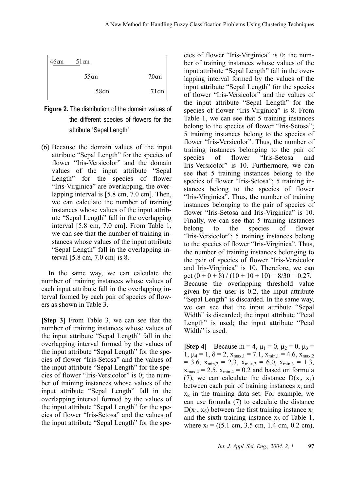



(6) Because the domain values of the input attribute "Sepal Length" for the species of flower "Iris-Versicolor" and the domain values of the input attribute "Sepal Length" for the species of flower "Iris-Virginica" are overlapping, the overlapping interval is [5.8 cm, 7.0 cm]. Then, we can calculate the number of training instances whose values of the input attribute "Sepal Length" fall in the overlapping interval [5.8 cm, 7.0 cm]. From Table 1, we can see that the number of training instances whose values of the input attribute "Sepal Length" fall in the overlapping interval [5.8 cm, 7.0 cm] is 8.

In the same way, we can calculate the number of training instances whose values of each input attribute fall in the overlapping interval formed by each pair of species of flowers as shown in Table 3.

**[Step 3]** From Table 3, we can see that the number of training instances whose values of the input attribute "Sepal Length" fall in the overlapping interval formed by the values of the input attribute "Sepal Length" for the species of flower "Iris-Setosa" and the values of the input attribute "Sepal Length" for the species of flower "Iris-Versicolor" is 0; the number of training instances whose values of the input attribute "Sepal Length" fall in the overlapping interval formed by the values of the input attribute "Sepal Length" for the species of flower "Iris-Setosa" and the values of the input attribute "Sepal Length" for the species of flower "Iris-Virginica" is 0; the number of training instances whose values of the input attribute "Sepal Length" fall in the overlapping interval formed by the values of the input attribute "Sepal Length" for the species of flower "Iris-Versicolor" and the values of the input attribute "Sepal Length" for the species of flower "Iris-Virginica" is 8. From Table 1, we can see that 5 training instances belong to the species of flower "Iris-Setosa"; 5 training instances belong to the species of flower "Iris-Versicolor". Thus, the number of training instances belonging to the pair of species of flower "Iris-Setosa and Iris-Versicolor" is 10. Furthermore, we can see that 5 training instances belong to the species of flower "Iris-Setosa"; 5 training instances belong to the species of flower "Iris-Virginica". Thus, the number of training instances belonging to the pair of species of flower "Iris-Setosa and Iris-Virginica" is 10. Finally, we can see that 5 training instances belong to the species of flower "Iris-Versicolor"; 5 training instances belong to the species of flower "Iris-Virginica". Thus, the number of training instances belonging to the pair of species of flower "Iris-Versicolor and Iris-Virginica" is 10. Therefore, we can get  $(0 + 0 + 8) / (10 + 10 + 10) = 8/30 = 0.27$ . Because the overlapping threshold value given by the user is 0.2, the input attribute "Sepal Length" is discarded. In the same way, we can see that the input attribute "Sepal Width" is discarded; the input attribute "Petal" Length" is used; the input attribute "Petal Width" is used.

**[Step 4]** Because m = 4,  $\mu_1 = 0$ ,  $\mu_2 = 0$ ,  $\mu_3 =$ 1,  $\mu_4 = 1$ ,  $\delta = 2$ ,  $x_{\text{max},1} = 7.1$ ,  $x_{\text{min},1} = 4.6$ ,  $x_{\text{max},2}$  $= 3.6$ ,  $x_{\text{min},2} = 2.3$ ,  $x_{\text{max},3} = 6.0$ ,  $x_{\text{min},3} = 1.3$ ,  $x_{\text{max},4} = 2.5$ ,  $x_{\text{min},4} = 0.2$  and based on formula (7), we can calculate the distance  $D(x_i, x_k)$ between each pair of training instances  $x_i$  and  $x_k$  in the training data set. For example, we can use formula (7) to calculate the distance  $D(x_1, x_6)$  between the first training instance  $x_1$ and the sixth training instance  $x<sub>6</sub>$  of Table 1, where  $x_1 = ((5.1 \text{ cm}, 3.5 \text{ cm}, 1.4 \text{ cm}, 0.2 \text{ cm}),$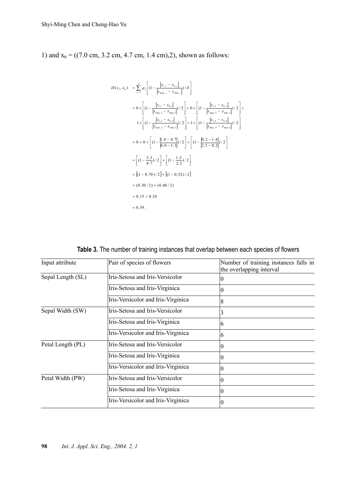1) and  $x_6 = ((7.0 \text{ cm}, 3.2 \text{ cm}, 4.7 \text{ cm}, 1.4 \text{ cm}), 2)$ , shown as follows:

$$
D(x_1, x_6) = \sum_{j=1}^{4} \mu_j \left[ \left(1 - \frac{|x_{1,j} - x_{6,j}|}{|x_{\text{max},j} - x_{\text{min},j}|} \right) / \delta \right]
$$
  
\n
$$
= 0 \times \left[ \left(1 - \frac{|x_{1,1} - x_{6,j}|}{|x_{\text{max},1} - x_{\text{min},1}|} \right) / 2 \right] + 0 \times \left[ \left(1 - \frac{|x_{1,2} - x_{6,2}|}{|x_{\text{max},2} - x_{\text{min},2}|} \right) / 2 \right] + 1 \times \left[ \left(1 - \frac{|x_{1,3} - x_{6,3}|}{|x_{\text{max},3} - x_{\text{min},3}|} \right) / 2 \right] + 1 \times \left[ \left(1 - \frac{|x_{1,4} - x_{6,4}|}{|x_{\text{max},4} - x_{\text{min},4}|} \right) / 2 \right]
$$
  
\n
$$
= 0 + 0 + \left[ \left(1 - \frac{|1.4 - 4.7|}{|6.0 - 1.3|} \right) / 2 \right] + \left[ \left(1 - \frac{|0.2 - 1.4|}{|2.5 - 0.2|} \right) / 2 \right]
$$
  
\n
$$
= \left[ \left(1 - \frac{3.3}{4.7} \right) / 2 \right] + \left[ \left(1 - \frac{1.2}{2.3} \right) / 2 \right]
$$
  
\n
$$
= \left[ \left(1 - 0.70 \right) / 2 \right] + \left[ \left(1 - 0.52 \right) / 2 \right]
$$
  
\n
$$
= (0.30 / 2) + (0.48 / 2)
$$
  
\n
$$
= 0.15 + 0.24
$$
  
\n
$$
= 0.39
$$

**Table 3.** The number of training instances that overlap between each species of flowers

| Input attribute   | Pair of species of flowers         | Number of training instances falls in<br>the overlapping interval |
|-------------------|------------------------------------|-------------------------------------------------------------------|
| Sepal Length (SL) | Iris-Setosa and Iris-Versicolor    | $\theta$                                                          |
|                   | Iris-Setosa and Iris-Virginica     | 0                                                                 |
|                   | Iris-Versicolor and Iris-Virginica | 8                                                                 |
| Sepal Width (SW)  | Iris-Setosa and Iris-Versicolor    |                                                                   |
|                   | Iris-Setosa and Iris-Virginica     | 6                                                                 |
|                   | Iris-Versicolor and Iris-Virginica | 6                                                                 |
| Petal Length (PL) | Iris-Setosa and Iris-Versicolor    | 0                                                                 |
|                   | Iris-Setosa and Iris-Virginica     | $\theta$                                                          |
|                   | Iris-Versicolor and Iris-Virginica |                                                                   |
| Petal Width (PW)  | Iris-Setosa and Iris-Versicolor    | 0                                                                 |
|                   | Iris-Setosa and Iris-Virginica     | 0                                                                 |
|                   | Iris-Versicolor and Iris-Virginica | $\theta$                                                          |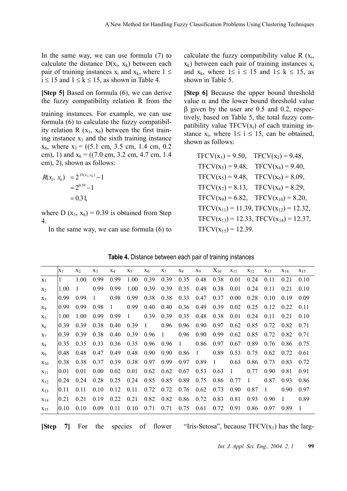In the same way, we can use formula (7) to calculate the distance  $D(x_i, x_k)$  between each pair of training instances  $x_i$  and  $x_k$ , where  $1 \leq$  $i \le 15$  and  $1 \le k \le 15$ , as shown in Table 4.

**[Step 5]** Based on formula (6), we can derive the fuzzy compatibility relation R from the

training instances. For example, we can use formula (6) to calculate the fuzzy compatibility relation R  $(x_1, x_6)$  between the first training instance  $x_1$  and the sixth training instance  $x_6$ , where  $x_1 = ((5.1 \text{ cm}, 3.5 \text{ cm}, 1.4 \text{ cm}, 0.2 \text{ cm}))$ cm), 1) and  $x_6 = ((7.0 \text{ cm}, 3.2 \text{ cm}, 4.7 \text{ cm}, 1.4$ cm), 2), shown as follows:

$$
R(x_1, x_6) = 2^{D(x_1, x_6)} - 1
$$
  
= 2<sup>0.39</sup> - 1  
= 0.31,

where D  $(x_1, x_6) = 0.39$  is obtained from Step 4.

In the same way, we can use formula (6) to

calculate the fuzzy compatibility value R  $(x_i)$ ,  $x_k$ ) between each pair of training instances  $x_i$ and  $x_k$ , where  $1 \le i \le 15$  and  $1 \le k \le 15$ , as shown in Table 5.

**[Step 6]** Because the upper bound threshold value  $\alpha$  and the lower bound threshold value β given by the user are 0.5 and 0.2, respectively, based on Table 5, the total fuzzy compatibility value  $TFCV(x_i)$  of each training instance  $x_i$ , where  $1 \le i \le 15$ , can be obtained, shown as follows:

$$
TFCV(x_1) = 9.50, TFCV(x_2) = 9.48,
$$

$$
TFCV(x_3) = 9.48, TFCV(x_4) = 9.40,
$$

$$
TFCV(x_5) = 9.48, TFCV(x_6) = 8.09,
$$

$$
TFCV(x_7) = 8.13, TFCV(x_8) = 8.29,
$$

$$
TFCV(x_9) = 6.82, TFCV(x_{10}) = 8.20,
$$

$$
TFCV(x_{11}) = 11.39, TFCV(x_{12}) = 12.32,
$$

$$
TFCV(x_{13}) = 12.33, TFCV(x_{14}) = 12.37,
$$

$$
TFCV(x_{15}) = 12.39.
$$

| Table 4. Distance between each pair of training instances |  |  |  |  |  |
|-----------------------------------------------------------|--|--|--|--|--|
|-----------------------------------------------------------|--|--|--|--|--|

|          | $X_1$ | $X_2$ | $X_3$ | $X_4$ | $X_5$ | $X_6$ | $X_7$ | $X_8$ | X9   | $\rm X_{10}$ | $X_{11}$ | $X_{12}$ | $X_{13}$ | $X_{14}$ | $X_{15}$ |
|----------|-------|-------|-------|-------|-------|-------|-------|-------|------|--------------|----------|----------|----------|----------|----------|
| $X_1$    |       | 1.00  | 0.99  | 0.99  | 1.00  | 0.39  | 0.39  | 0.35  | 0.48 | 0.38         | 0.01     | 0.24     | 0.11     | 0.21     | 0.10     |
| $X_2$    | 1.00  |       | 0.99  | 0.99  | 1.00  | 0.39  | 0.39  | 0.35  | 0.49 | 0.38         | 0.01     | 0.24     | 0.11     | 0.21     | 0.10     |
| $X_3$    | 0.99  | 0.99  |       | 0.98  | 0.99  | 0.38  | 0.38  | 0.33  | 0.47 | 0.37         | 0.00     | 0.28     | 0.10     | 0.19     | 0.09     |
| $X_4$    | 0.99  | 0.99  | 0.98  | 1     | 0.99  | 0.40  | 0.40  | 0.36  | 0.49 | 0.39         | 0.02     | 0.25     | 0.12     | 0.22     | 0.11     |
| $X_5$    | 1.00  | 1.00  | 0.99  | 0.99  | 1     | 0.39  | 0.39  | 0.35  | 0.48 | 0.38         | 0.01     | 0.24     | 0.11     | 0.21     | 0.10     |
| $X_6$    | 0.39  | 0.39  | 0.38  | 0.40  | 0.39  | 1     | 0.96  | 0.96  | 0.90 | 0.97         | 0.62     | 0.85     | 0.72     | 0.82     | 0.71     |
| $X_7$    | 0.39  | 0.39  | 0.38  | 0.40  | 0.39  | 0.96  | 1     | 0.96  | 0.90 | 0.99         | 0.62     | 0.85     | 0.72     | 0.82     | 0.71     |
| $X_8$    | 0.35  | 0.35  | 0.33  | 0.36  | 0.35  | 0.96  | 0.96  | 1     | 0.86 | 0.97         | 0.67     | 0.89     | 0.76     | 0.86     | 0.75     |
| X9       | 0.48  | 0.48  | 0.47  | 0.49  | 0.48  | 0.90  | 0.90  | 0.86  | 1    | 0.89         | 0.53     | 0.75     | 0.62     | 0.72     | 0.61     |
| $X_{10}$ | 0.38  | 0.38  | 0.37  | 0.39  | 0.38  | 0.97  | 0.99  | 0.97  | 0.89 | 1            | 0.63     | 0.86     | 0.73     | 0.83     | 0.72     |
| $X_{11}$ | 0.01  | 0.01  | 0.00  | 0.02  | 0.01  | 0.62  | 0.62  | 0.67  | 0.53 | 0.63         | 1        | 0.77     | 0.90     | 0.81     | 0.91     |
| $X_{12}$ | 0.24  | 0.24  | 0.28  | 0.25  | 0.24  | 0.85  | 0.85  | 0.89  | 0.75 | 0.86         | 0.77     | 1        | 0.87     | 0.93     | 0.86     |
| $X_{13}$ | 0.11  | 0.11  | 0.10  | 0.12  | 0.11  | 0.72  | 0.72  | 0.76  | 0.62 | 0.73         | 0.90     | 0.87     | 1        | 0.90     | 0.97     |
| $X_{14}$ | 0.21  | 0.21  | 0.19  | 0.22  | 0.21  | 0.82  | 0.82  | 0.86  | 0.72 | 0.83         | 0.81     | 0.93     | 0.90     | 1        | 0.89     |
| $X_{15}$ | 0.10  | 0.10  | 0.09  | 0.11  | 0.10  | 0.71  | 0.71  | 0.75  | 0.61 | 0.72         | 0.91     | 0.86     | 0.97     | 0.89     | 1        |

**[Step 7]** For the species of flower "Iris-Setosa", because  $TFCV(x_1)$  has the larg-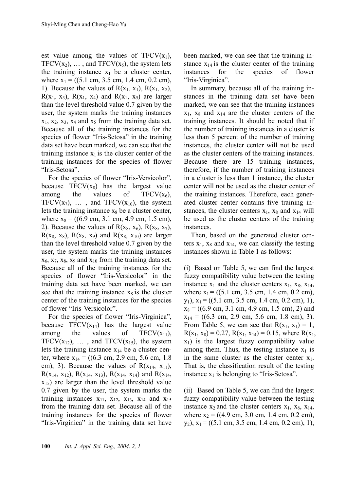est value among the values of  $TFCV(x_1)$ , TFCV( $x_2$ ), ..., and TFCV( $x_5$ ), the system lets the training instance  $x_1$  be a cluster center, where  $x_1 = ((5.1 \text{ cm}, 3.5 \text{ cm}, 1.4 \text{ cm}, 0.2 \text{ cm}),$ 1). Because the values of  $R(x_1, x_1)$ ,  $R(x_1, x_2)$ ,  $R(x_1, x_3)$ ,  $R(x_1, x_4)$  and  $R(x_1, x_5)$  are larger than the level threshold value 0.7 given by the user, the system marks the training instances  $x_1, x_2, x_3, x_4$  and  $x_5$  from the training data set. Because all of the training instances for the species of flower "Iris-Setosa" in the training data set have been marked, we can see that the training instance  $x_1$  is the cluster center of the training instances for the species of flower "Iris-Setosa".

For the species of flower "Iris-Versicolor", because  $TFCV(x_8)$  has the largest value among the values of  $TFCV(x_6)$ , TFCV( $x_7$ ), ..., and TFCV( $x_{10}$ ), the system lets the training instance  $x_8$  be a cluster center, where  $x_8 = ((6.9 \text{ cm}, 3.1 \text{ cm}, 4.9 \text{ cm}, 1.5 \text{ cm}),$ 2). Because the values of  $R(x_8, x_6)$ ,  $R(x_8, x_7)$ ,  $R(x_8, x_8)$ ,  $R(x_8, x_9)$  and  $R(x_8, x_{10})$  are larger than the level threshold value 0.7 given by the user, the system marks the training instances  $x_6$ ,  $x_7$ ,  $x_8$ ,  $x_9$  and  $x_{10}$  from the training data set. Because all of the training instances for the species of flower "Iris-Versicolor" in the training data set have been marked, we can see that the training instance  $x_8$  is the cluster center of the training instances for the species of flower "Iris-Versicolor".

For the species of flower "Iris-Virginica", because  $TFCV(x_{14})$  has the largest value among the values of  $TFCV(x_{11})$ , TFCV( $x_{12}$ ), ..., and TFCV( $x_{15}$ ), the system lets the training instance  $x_{14}$  be a cluster center, where  $x_{14} = ((6.3 \text{ cm}, 2.9 \text{ cm}, 5.6 \text{ cm}, 1.8$ cm), 3). Because the values of  $R(x_{14}, x_{11})$ ,  $R(x_{14}, x_{12})$ ,  $R(x_{14}, x_{13})$ ,  $R(x_{14}, x_{14})$  and  $R(x_{14}, x_{15})$  $x_{15}$ ) are larger than the level threshold value 0.7 given by the user, the system marks the training instances  $x_{11}$ ,  $x_{12}$ ,  $x_{13}$ ,  $x_{14}$  and  $x_{15}$ from the training data set. Because all of the training instances for the species of flower "Iris-Virginica" in the training data set have been marked, we can see that the training instance  $x_{14}$  is the cluster center of the training instances for the species of flower "Iris-Virginica".

In summary, because all of the training instances in the training data set have been marked, we can see that the training instances  $x_1$ ,  $x_8$  and  $x_{14}$  are the cluster centers of the training instances. It should be noted that if the number of training instances in a cluster is less than 5 percent of the number of training instances, the cluster center will not be used as the cluster centers of the training instances. Because there are 15 training instances, therefore, if the number of training instances in a cluster is less than 1 instance, the cluster center will not be used as the cluster center of the training instances. Therefore, each generated cluster center contains five training instances, the cluster centers  $x_1$ ,  $x_8$  and  $x_{14}$  will be used as the cluster centers of the training instances.

Then, based on the generated cluster centers  $x_1$ ,  $x_8$  and  $x_{14}$ , we can classify the testing instances shown in Table 1 as follows:

(i) Based on Table 5, we can find the largest fuzzy compatibility value between the testing instance  $x_1$  and the cluster centers  $x_1$ ,  $x_8$ ,  $x_{14}$ , where  $x_1 = ((5.1 \text{ cm}, 3.5 \text{ cm}, 1.4 \text{ cm}, 0.2 \text{ cm}),$  $y_1$ ,  $x_1 = ((5.1 \text{ cm}, 3.5 \text{ cm}, 1.4 \text{ cm}, 0.2 \text{ cm}), 1),$  $x_8 = ((6.9 \text{ cm}, 3.1 \text{ cm}, 4.9 \text{ cm}, 1.5 \text{ cm}), 2)$  and  $x_{14} = ((6.3 \text{ cm}, 2.9 \text{ cm}, 5.6 \text{ cm}, 1.8 \text{ cm}), 3).$ From Table 5, we can see that  $R(x_1, x_1) = 1$ ,  $R(x_1, x_8) = 0.27$ ,  $R(x_1, x_{14}) = 0.15$ , where  $R(x_1, x_2)$  $x_1$ ) is the largest fuzzy compatibility value among them. Thus, the testing instance  $x_1$  is in the same cluster as the cluster center  $x_1$ . That is, the classification result of the testing instance  $x_1$  is belonging to "Iris-Setosa".

(ii) Based on Table 5, we can find the largest fuzzy compatibility value between the testing instance  $x_2$  and the cluster centers  $x_1$ ,  $x_8$ ,  $x_{14}$ , where  $x_2 = ((4.9 \text{ cm}, 3.0 \text{ cm}, 1.4 \text{ cm}, 0.2 \text{ cm}),$  $y_2$ ),  $x_1 = ((5.1 \text{ cm}, 3.5 \text{ cm}, 1.4 \text{ cm}, 0.2 \text{ cm}), 1),$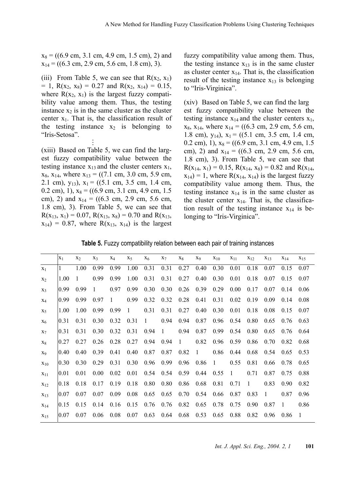$x_8 = ((6.9 \text{ cm}, 3.1 \text{ cm}, 4.9 \text{ cm}, 1.5 \text{ cm}), 2)$  and  $x_{14} = ((6.3 \text{ cm}, 2.9 \text{ cm}, 5.6 \text{ cm}, 1.8 \text{ cm}), 3).$ 

(iii) From Table 5, we can see that  $R(x_2, x_1)$  $= 1$ , R(x<sub>2</sub>, x<sub>8</sub>) = 0.27 and R(x<sub>2</sub>, x<sub>14</sub>) = 0.15, where  $R(x_2, x_1)$  is the largest fuzzy compatibility value among them. Thus, the testing instance  $x_2$  is in the same cluster as the cluster center  $x_1$ . That is, the classification result of the testing instance  $x_2$  is belonging to "Iris-Setosa". **. .** 

**.** 

(xiii) Based on Table 5, we can find the largest fuzzy compatibility value between the testing instance  $x_{13}$  and the cluster centers  $x_1$ ,  $x_8$ ,  $x_{14}$ , where  $x_{13} = ((7.1 \text{ cm}, 3.0 \text{ cm}, 5.9 \text{ cm},$ 2.1 cm),  $y_{13}$ ),  $x_1 = ((5.1 \text{ cm}, 3.5 \text{ cm}, 1.4 \text{ cm},$ 0.2 cm), 1),  $x_8 = ((6.9 \text{ cm}, 3.1 \text{ cm}, 4.9 \text{ cm}, 1.5 \text{ cm}))$ cm), 2) and  $x_{14} = ((6.3 \text{ cm}, 2.9 \text{ cm}, 5.6 \text{ cm},$ 1.8 cm), 3). From Table 5, we can see that  $R(x_{13}, x_1) = 0.07, R(x_{13}, x_8) = 0.70$  and  $R(x_{13}, x_9) = 0.70$  $x_{14}$ ) = 0.87, where R( $x_{13}$ ,  $x_{14}$ ) is the largest fuzzy compatibility value among them. Thus, the testing instance  $x_{13}$  is in the same cluster as cluster center  $x_{14}$ . That is, the classification result of the testing instance  $x_{13}$  is belonging to "Iris-Virginica".

(xiv) Based on Table 5, we can find the larg est fuzzy compatibility value between the testing instance  $x_{14}$  and the cluster centers  $x_1$ ,  $x_8$ ,  $x_{14}$ , where  $x_{14} = ((6.3 \text{ cm}, 2.9 \text{ cm}, 5.6 \text{ cm},$ 1.8 cm),  $y_{14}$ ),  $x_1 = ((5.1 \text{ cm}, 3.5 \text{ cm}, 1.4 \text{ cm},$ 0.2 cm), 1),  $x_8 = ((6.9 \text{ cm}, 3.1 \text{ cm}, 4.9 \text{ cm}, 1.5 \text{ cm}))$ cm), 2) and  $x_{14} = ((6.3 \text{ cm}, 2.9 \text{ cm}, 5.6 \text{ cm},$ 1.8 cm), 3). From Table 5, we can see that  $R(x_{14}, x_1) = 0.15$ ,  $R(x_{14}, x_8) = 0.82$  and  $R(x_{14}, x_1)$  $x_{14}$ ) = 1, where R( $x_{14}$ ,  $x_{14}$ ) is the largest fuzzy compatibility value among them. Thus, the testing instance  $x_{14}$  is in the same cluster as the cluster center  $x_{14}$ . That is, the classification result of the testing instance  $x_{14}$  is belonging to "Iris-Virginica".

**Table 5.** Fuzzy compatibility relation between each pair of training instances

|                | $X_1$ | X <sub>2</sub> | $X_3$ | $X_4$ | $X_5$ | $X_6$        | $X_7$ | $X_8$ | X <sub>9</sub> | $X_{10}$ | $X_{11}$ | $X_{12}$       | $X_{13}$ | $X_{14}$ | X <sub>15</sub> |
|----------------|-------|----------------|-------|-------|-------|--------------|-------|-------|----------------|----------|----------|----------------|----------|----------|-----------------|
| $X_1$          |       | 1.00           | 0.99  | 0.99  | 1.00  | 0.31         | 0.31  | 0.27  | 0.40           | 0.30     | 0.01     | 0.18           | 0.07     | 0.15     | 0.07            |
| X <sub>2</sub> | 1.00  | 1              | 0.99  | 0.99  | 1.00  | 0.31         | 0.31  | 0.27  | 0.40           | 0.30     | 0.01     | 0.18           | 0.07     | 0.15     | 0.07            |
| $X_3$          | 0.99  | 0.99           |       | 0.97  | 0.99  | 0.30         | 0.30  | 0.26  | 0.39           | 0.29     | 0.00     | 0.17           | 0.07     | 0.14     | 0.06            |
| $X_4$          | 0.99  | 0.99           | 0.97  | 1     | 0.99  | 0.32         | 0.32  | 0.28  | 0.41           | 0.31     | 0.02     | 0.19           | 0.09     | 0.14     | 0.08            |
| $X_5$          | 1.00  | 1.00           | 0.99  | 0.99  | 1     | 0.31         | 0.31  | 0.27  | 0.40           | 0.30     | 0.01     | 0.18           | 0.08     | 0.15     | 0.07            |
| $X_6$          | 0.31  | 0.31           | 0.30  | 0.32  | 0.31  | $\mathbf{1}$ | 0.94  | 0.94  | 0.87           | 0.96     | 0.54     | 0.80           | 0.65     | 0.76     | 0.63            |
| $X_7$          | 0.31  | 0.31           | 0.30  | 0.32  | 0.31  | 0.94         | 1     | 0.94  | 0.87           | 0.99     | 0.54     | 0.80           | 0.65     | 0.76     | 0.64            |
| $X_8$          | 0.27  | 0.27           | 0.26  | 0.28  | 0.27  | 0.94         | 0.94  | 1     | 0.82           | 0.96     | 0.59     | 0.86           | 0.70     | 0.82     | 0.68            |
| X <sub>9</sub> | 0.40  | 0.40           | 0.39  | 0.41  | 0.40  | 0.87         | 0.87  | 0.82  | -1             | 0.86     | 0.44     | 0.68           | 0.54     | 0.65     | 0.53            |
| $X_{10}$       | 0.30  | 0.30           | 0.29  | 0.31  | 0.30  | 0.96         | 0.99  | 0.96  | 0.86           | 1        | 0.55     | 0.81           | 0.66     | 0.78     | 0.65            |
| $X_{11}$       | 0.01  | 0.01           | 0.00  | 0.02  | 0.01  | 0.54         | 0.54  | 0.59  | 0.44           | 0.55     | 1        | 0.71           | 0.87     | 0.75     | 0.88            |
| $X_{12}$       | 0.18  | 0.18           | 0.17  | 0.19  | 0.18  | 0.80         | 0.80  | 0.86  | 0.68           | 0.81     | 0.71     | $\overline{1}$ | 0.83     | 0.90     | 0.82            |
| $X_{13}$       | 0.07  | 0.07           | 0.07  | 0.09  | 0.08  | 0.65         | 0.65  | 0.70  | 0.54           | 0.66     | 0.87     | 0.83           | 1        | 0.87     | 0.96            |
| $X_{14}$       | 0.15  | 0.15           | 0.14  | 0.16  | 0.15  | 0.76         | 0.76  | 0.82  | 0.65           | 0.78     | 0.75     | 0.90           | 0.87     | 1        | 0.86            |
| $X_{15}$       | 0.07  | 0.07           | 0.06  | 0.08  | 0.07  | 0.63         | 0.64  | 0.68  | 0.53           | 0.65     | 0.88     | 0.82           | 0.96     | 0.86     | $\overline{1}$  |

*Int. J. Appl. Sci. Eng., 2004. 2, 1* **101**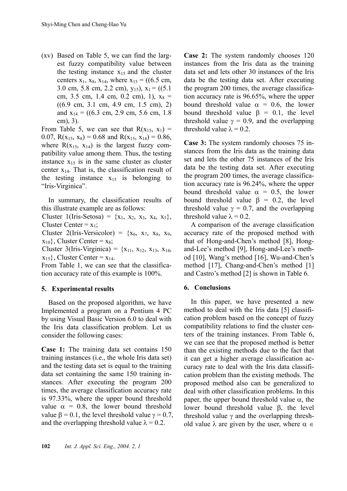(xv) Based on Table 5, we can find the largest fuzzy compatibility value between the testing instance  $x_{15}$  and the cluster centers  $x_1$ ,  $x_8$ ,  $x_{14}$ , where  $x_{15} = ((6.5 \text{ cm},$ 3.0 cm, 5.8 cm, 2.2 cm),  $y_{15}$ ,  $x_1 = ((5.1$ cm, 3.5 cm, 1.4 cm, 0.2 cm), 1),  $x_8 =$ ((6.9 cm, 3.1 cm, 4.9 cm, 1.5 cm), 2) and  $x_{14} = ((6.3 \text{ cm}, 2.9 \text{ cm}, 5.6 \text{ cm}, 1.8 \text{ cm}))$ cm), 3).

From Table 5, we can see that  $R(x_{15}, x_1) =$ 0.07,  $R(x_{15}, x_8) = 0.68$  and  $R(x_{15}, x_{14}) = 0.86$ , where  $R(x_{15}, x_{14})$  is the largest fuzzy compatibility value among them. Thus, the testing instance  $x_{15}$  is in the same cluster as cluster center  $x_{14}$ . That is, the classification result of the testing instance  $x_{15}$  is belonging to "Iris-Virginica".

In summary, the classification results of this illustrate example are as follows:

Cluster 1(Iris-Setosa) =  $\{x_1, x_2, x_3, x_4, x_5\}$ , Cluster Center =  $x_1$ ;

Cluster 2(Iris-Versicolor) =  $\{x_6, x_7, x_8, x_9,$  $x_{10}$ , Cluster Center =  $x_8$ ;

Cluster 3(Iris-Virginica) =  ${x_{11}, x_{12}, x_{13}, x_{14}}$  $x_{15}$ , Cluster Center =  $x_{14}$ .

From Table 1, we can see that the classification accuracy rate of this example is 100%.

## **5. Experimental results**

Based on the proposed algorithm, we have Implemented a program on a Pentium 4 PC by using Visual Basic Version 6.0 to deal with the Iris data classification problem. Let us consider the following cases:

**Case 1:** The training data set contains 150 training instances (i.e., the whole Iris data set) and the testing data set is equal to the training data set containing the same 150 training instances. After executing the program 200 times, the average classification accuracy rate is 97.33%, where the upper bound threshold value  $\alpha = 0.8$ , the lower bound threshold value  $\beta = 0.1$ , the level threshold value  $\gamma = 0.7$ , and the overlapping threshold value  $\lambda = 0.2$ .

**Case 2:** The system randomly chooses 120 instances from the Iris data as the training data set and lets other 30 instances of the Iris data be the testing data set. After executing the program 200 times, the average classification accuracy rate is 96.65%, where the upper bound threshold value  $\alpha = 0.6$ , the lower bound threshold value  $\beta = 0.1$ , the level threshold value  $\gamma = 0.9$ , and the overlapping threshold value  $\lambda = 0.2$ .

**Case 3:** The system randomly chooses 75 instances from the Iris data as the training data set and lets the other 75 instances of the Iris data be the testing data set. After executing the program 200 times, the average classification accuracy rate is 96.24%, where the upper bound threshold value  $\alpha = 0.5$ , the lower bound threshold value  $β = 0.2$ , the level threshold value  $\gamma = 0.7$ , and the overlapping threshold value  $\lambda = 0.2$ .

A comparison of the average classification accuracy rate of the proposed method with that of Hong-and-Chen's method [8], Hongand-Lee's method [9], Hong-and-Lee's method [10], Wang's method [16], Wu-and-Chen's method [17], Chang-and-Chen's method [1] and Castro's method [2] is shown in Table 6.

### **6. Conclusions**

In this paper, we have presented a new method to deal with the Iris data [5] classification problem based on the concept of fuzzy compatibility relations to find the cluster centers of the training instances. From Table 6, we can see that the proposed method is better than the existing methods due to the fact that it can get a higher average classification accuracy rate to deal with the Iris data classification problem than the existing methods. The proposed method also can be generalized to deal with other classification problems. In this paper, the upper bound threshold value  $\alpha$ , the lower bound threshold value β, the level threshold value  $\gamma$  and the overlapping threshold value  $\lambda$  are given by the user, where  $\alpha \in$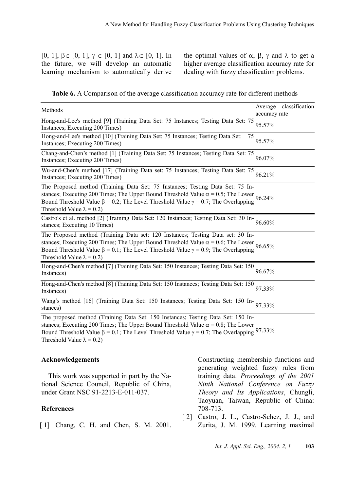[0, 1],  $\beta \in [0, 1]$ ,  $\gamma \in [0, 1]$  and  $\lambda \in [0, 1]$ . In the future, we will develop an automatic learning mechanism to automatically derive

the optimal values of  $\alpha$ ,  $\beta$ ,  $\gamma$  and  $\lambda$  to get a higher average classification accuracy rate for dealing with fuzzy classification problems.

| Methods                                                                                                                                                                                                                                                                                                                     |               | Average classification |
|-----------------------------------------------------------------------------------------------------------------------------------------------------------------------------------------------------------------------------------------------------------------------------------------------------------------------------|---------------|------------------------|
|                                                                                                                                                                                                                                                                                                                             | accuracy rate |                        |
| Hong-and-Lee's method [9] (Training Data Set: 75 Instances; Testing Data Set: 75<br>Instances; Executing 200 Times)                                                                                                                                                                                                         | 95.57%        |                        |
| Hong-and-Lee's method [10] (Training Data Set: 75 Instances; Testing Data Set:<br>75<br>Instances; Executing 200 Times)                                                                                                                                                                                                     | 95.57%        |                        |
| Chang-and-Chen's method [1] (Training Data Set: 75 Instances; Testing Data Set: 75<br>Instances; Executing 200 Times)                                                                                                                                                                                                       | 96.07%        |                        |
| Wu-and-Chen's method [17] (Training Data set: 75 Instances; Testing Data Set: 75<br>Instances; Executing 200 Times)                                                                                                                                                                                                         | 96.21%        |                        |
| The Proposed method (Training Data Set: 75 Instances; Testing Data Set: 75 In-<br>stances; Executing 200 Times; The Upper Bound Threshold Value $\alpha = 0.5$ ; The Lower 96.24%<br>Bound Threshold Value $\beta = 0.2$ ; The Level Threshold Value $\gamma = 0.7$ ; The Overlapping<br>Threshold Value $\lambda = 0.2$ )  |               |                        |
| Castro's et al. method [2] (Training Data Set: 120 Instances; Testing Data Set: 30 In-<br>stances; Executing 10 Times)                                                                                                                                                                                                      | 96.60%        |                        |
| The Proposed method (Training Data set: 120 Instances; Testing Data set: 30 In-<br>stances; Executing 200 Times; The Upper Bound Threshold Value $\alpha = 0.6$ ; The Lower 96.65%<br>Bound Threshold Value $\beta = 0.1$ ; The Level Threshold Value $\gamma = 0.9$ ; The Overlapping<br>Threshold Value $\lambda = 0.2$ ) |               |                        |
| Hong-and-Chen's method [7] (Training Data Set: 150 Instances; Testing Data Set: 150<br>Instances)                                                                                                                                                                                                                           | 96.67%        |                        |
| Hong-and-Chen's method [8] (Training Data Set: 150 Instances; Testing Data Set: 150<br>Instances)                                                                                                                                                                                                                           | 97.33%        |                        |
| Wang's method [16] (Training Data Set: 150 Instances; Testing Data Set: 150 In-<br>stances)                                                                                                                                                                                                                                 | 97.33%        |                        |
| The proposed method (Training Data Set: 150 Instances; Testing Data Set: 150 In-<br>stances; Executing 200 Times; The Upper Bound Threshold Value $\alpha = 0.8$ ; The Lower<br>Bound Threshold Value $\beta = 0.1$ ; The Level Threshold Value $\gamma = 0.7$ ; The Overlapping<br>Threshold Value $\lambda = 0.2$ )       | 97.33%        |                        |

#### **Acknowledgements**

This work was supported in part by the National Science Council, Republic of China, under Grant NSC 91-2213-E-011-037.

#### **References**

[1] Chang, C. H. and Chen, S. M. 2001.

Constructing membership functions and generating weighted fuzzy rules from training data. *Proceedings of the 2001 Ninth National Conference on Fuzzy Theory and Its Applications*, Chungli, Taoyuan, Taiwan, Republic of China: 708-713.

[2] Castro, J. L., Castro-Schez, J. J., and Zurita, J. M. 1999. Learning maximal